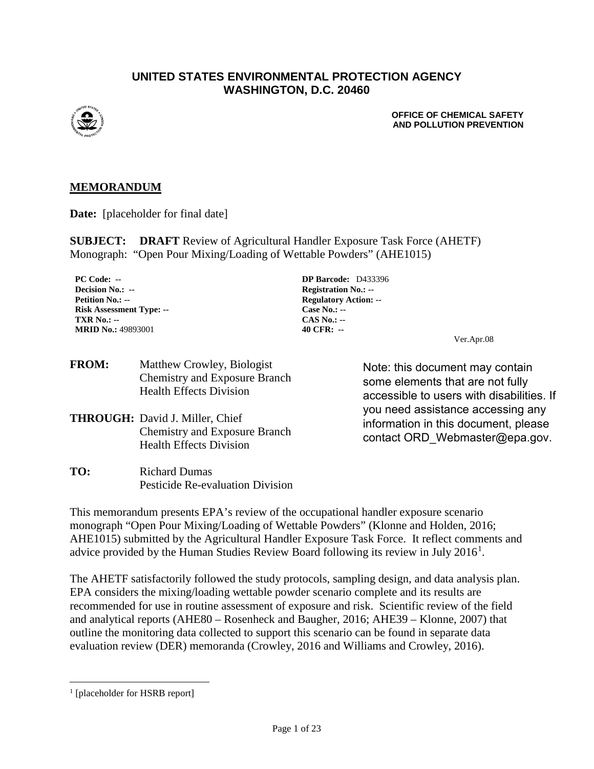#### **UNITED STATES ENVIRONMENTAL PROTECTION AGENCY WASHINGTON, D.C. 20460**



**OFFICE OF CHEMICAL SAFETY AND POLLUTION PREVENTION**

#### **MEMORANDUM**

**Date:** [placeholder for final date]

**SUBJECT: DRAFT** Review of Agricultural Handler Exposure Task Force (AHETF) Monograph: "Open Pour Mixing/Loading of Wettable Powders" (AHE1015)

**PC Code: -- DP Barcode:** D433396 **Decision No.: -- Registration No.: --Petition No.: -- Regulatory Action: -- Risk Assessment Type: -- Case No.: -- TXR No.: -- CAS No.: -- MRID No.:** 49893001 **40 CFR:** --

Ver.Apr.08

| <b>FROM:</b> | Matthew Crowley, Biologist           |
|--------------|--------------------------------------|
|              | <b>Chemistry and Exposure Branch</b> |
|              | <b>Health Effects Division</b>       |

- **THROUGH:** David J. Miller, Chief Chemistry and Exposure Branch Health Effects Division
- **TO:** Richard Dumas Pesticide Re-evaluation Division

Note: this document may contain some elements that are not fully accessible to users with disabilities. If you need assistance accessing any information in this document, please contact ORD\_Webmaster@epa.gov.

This memorandum presents EPA's review of the occupational handler exposure scenario monograph "Open Pour Mixing/Loading of Wettable Powders" (Klonne and Holden, 2016; AHE1015) submitted by the Agricultural Handler Exposure Task Force. It reflect comments and advice provided by the Human Studies Review Board following its review in July  $2016<sup>1</sup>$  $2016<sup>1</sup>$  $2016<sup>1</sup>$ .

The AHETF satisfactorily followed the study protocols, sampling design, and data analysis plan. EPA considers the mixing/loading wettable powder scenario complete and its results are recommended for use in routine assessment of exposure and risk. Scientific review of the field and analytical reports (AHE80 – Rosenheck and Baugher, 2016; AHE39 – Klonne, 2007) that outline the monitoring data collected to support this scenario can be found in separate data evaluation review (DER) memoranda (Crowley, 2016 and Williams and Crowley, 2016).

<span id="page-0-0"></span><sup>&</sup>lt;sup>1</sup> [placeholder for HSRB report]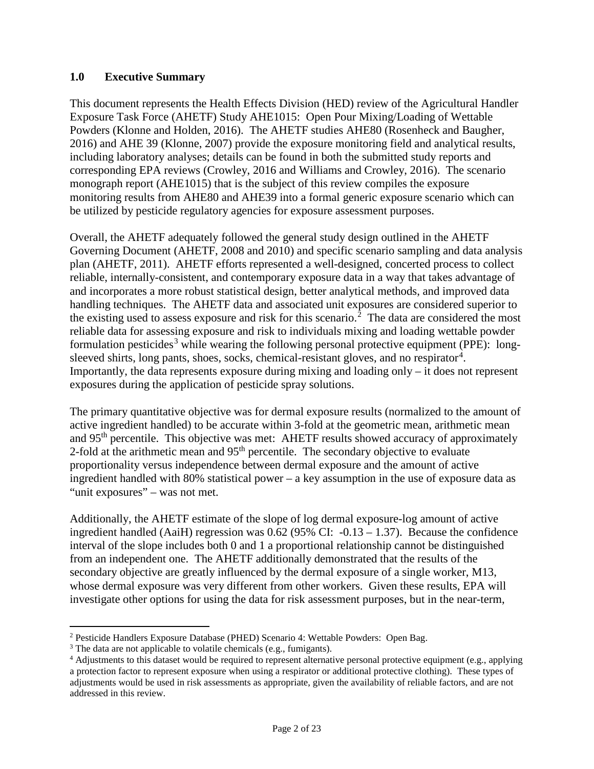#### **1.0 Executive Summary**

This document represents the Health Effects Division (HED) review of the Agricultural Handler Exposure Task Force (AHETF) Study AHE1015: Open Pour Mixing/Loading of Wettable Powders (Klonne and Holden, 2016). The AHETF studies AHE80 (Rosenheck and Baugher, 2016) and AHE 39 (Klonne, 2007) provide the exposure monitoring field and analytical results, including laboratory analyses; details can be found in both the submitted study reports and corresponding EPA reviews (Crowley, 2016 and Williams and Crowley, 2016). The scenario monograph report (AHE1015) that is the subject of this review compiles the exposure monitoring results from AHE80 and AHE39 into a formal generic exposure scenario which can be utilized by pesticide regulatory agencies for exposure assessment purposes.

Overall, the AHETF adequately followed the general study design outlined in the AHETF Governing Document (AHETF, 2008 and 2010) and specific scenario sampling and data analysis plan (AHETF, 2011). AHETF efforts represented a well-designed, concerted process to collect reliable, internally-consistent, and contemporary exposure data in a way that takes advantage of and incorporates a more robust statistical design, better analytical methods, and improved data handling techniques. The AHETF data and associated unit exposures are considered superior to the existing used to assess exposure and risk for this scenario.<sup>[2](#page-1-0)</sup> The data are considered the most reliable data for assessing exposure and risk to individuals mixing and loading wettable powder formulation pesticides<sup>[3](#page-1-1)</sup> while wearing the following personal protective equipment (PPE): long-sleeved shirts, long pants, shoes, socks, chemical-resistant gloves, and no respirator<sup>[4](#page-1-2)</sup>. Importantly, the data represents exposure during mixing and loading only – it does not represent exposures during the application of pesticide spray solutions.

The primary quantitative objective was for dermal exposure results (normalized to the amount of active ingredient handled) to be accurate within 3-fold at the geometric mean, arithmetic mean and 95<sup>th</sup> percentile. This objective was met: AHETF results showed accuracy of approximately 2-fold at the arithmetic mean and 95<sup>th</sup> percentile. The secondary objective to evaluate proportionality versus independence between dermal exposure and the amount of active ingredient handled with 80% statistical power – a key assumption in the use of exposure data as "unit exposures" – was not met.

Additionally, the AHETF estimate of the slope of log dermal exposure-log amount of active ingredient handled (AaiH) regression was 0.62 (95% CI: -0.13 – 1.37). Because the confidence interval of the slope includes both 0 and 1 a proportional relationship cannot be distinguished from an independent one. The AHETF additionally demonstrated that the results of the secondary objective are greatly influenced by the dermal exposure of a single worker, M13, whose dermal exposure was very different from other workers. Given these results, EPA will investigate other options for using the data for risk assessment purposes, but in the near-term,

<span id="page-1-0"></span> <sup>2</sup> Pesticide Handlers Exposure Database (PHED) Scenario 4: Wettable Powders: Open Bag.

<span id="page-1-1"></span><sup>&</sup>lt;sup>3</sup> The data are not applicable to volatile chemicals (e.g., fumigants).

<span id="page-1-2"></span><sup>4</sup> Adjustments to this dataset would be required to represent alternative personal protective equipment (e.g., applying a protection factor to represent exposure when using a respirator or additional protective clothing). These types of adjustments would be used in risk assessments as appropriate, given the availability of reliable factors, and are not addressed in this review.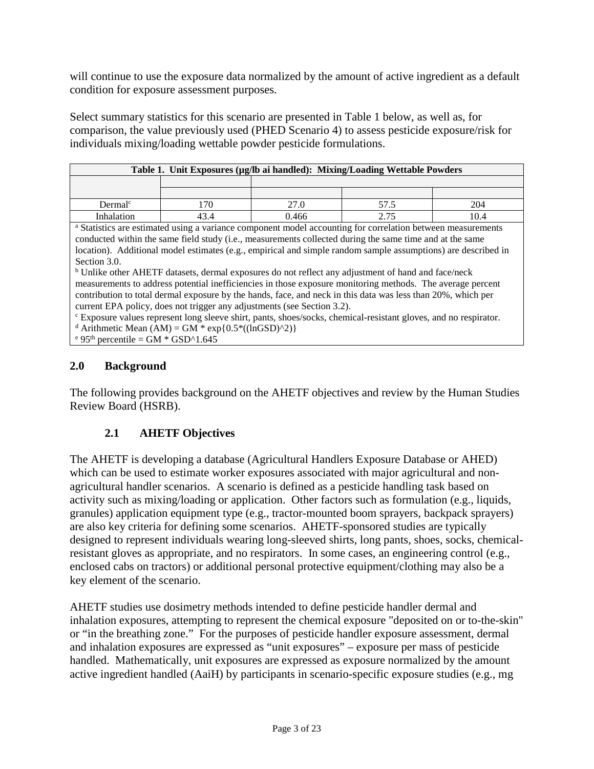will continue to use the exposure data normalized by the amount of active ingredient as a default condition for exposure assessment purposes.

Select summary statistics for this scenario are presented in [Table 1](#page-2-0) below, as well as, for comparison, the value previously used (PHED Scenario 4) to assess pesticide exposure/risk for individuals mixing/loading wettable powder pesticide formulations.

<span id="page-2-0"></span>

| Table 1. Unit Exposures (µg/lb ai handled): Mixing/Loading Wettable Powders |      |      |      |      |  |  |  |  |  |
|-----------------------------------------------------------------------------|------|------|------|------|--|--|--|--|--|
|                                                                             |      |      |      |      |  |  |  |  |  |
|                                                                             |      |      |      |      |  |  |  |  |  |
| Dermal <sup>c</sup>                                                         | 70   | 27.0 |      | 204  |  |  |  |  |  |
| Inhalation                                                                  | 13.4 | .466 | 2.75 | 10.4 |  |  |  |  |  |

<sup>a</sup> Statistics are estimated using a variance component model accounting for correlation between measurements conducted within the same field study (i.e., measurements collected during the same time and at the same location). Additional model estimates (e.g., empirical and simple random sample assumptions) are described in Section 3.0.

<sup>b</sup> Unlike other AHETF datasets, dermal exposures do not reflect any adjustment of hand and face/neck measurements to address potential inefficiencies in those exposure monitoring methods. The average percent contribution to total dermal exposure by the hands, face, and neck in this data was less than 20%, which per current EPA policy, does not trigger any adjustments (see Section 3.2).

<sup>c</sup> Exposure values represent long sleeve shirt, pants, shoes/socks, chemical-resistant gloves, and no respirator. <sup>d</sup> Arithmetic Mean (AM) = GM  $*$  exp{0.5 $*($ (lnGSD)^2)}

 $e^{e}$  95<sup>th</sup> percentile = GM  $*$  GSD^1.645

## **2.0 Background**

The following provides background on the AHETF objectives and review by the Human Studies Review Board (HSRB).

# **2.1 AHETF Objectives**

The AHETF is developing a database (Agricultural Handlers Exposure Database or AHED) which can be used to estimate worker exposures associated with major agricultural and nonagricultural handler scenarios. A scenario is defined as a pesticide handling task based on activity such as mixing/loading or application. Other factors such as formulation (e.g., liquids, granules) application equipment type (e.g., tractor-mounted boom sprayers, backpack sprayers) are also key criteria for defining some scenarios. AHETF-sponsored studies are typically designed to represent individuals wearing long-sleeved shirts, long pants, shoes, socks, chemicalresistant gloves as appropriate, and no respirators. In some cases, an engineering control (e.g., enclosed cabs on tractors) or additional personal protective equipment/clothing may also be a key element of the scenario.

AHETF studies use dosimetry methods intended to define pesticide handler dermal and inhalation exposures, attempting to represent the chemical exposure "deposited on or to-the-skin" or "in the breathing zone." For the purposes of pesticide handler exposure assessment, dermal and inhalation exposures are expressed as "unit exposures" – exposure per mass of pesticide handled. Mathematically, unit exposures are expressed as exposure normalized by the amount active ingredient handled (AaiH) by participants in scenario-specific exposure studies (e.g., mg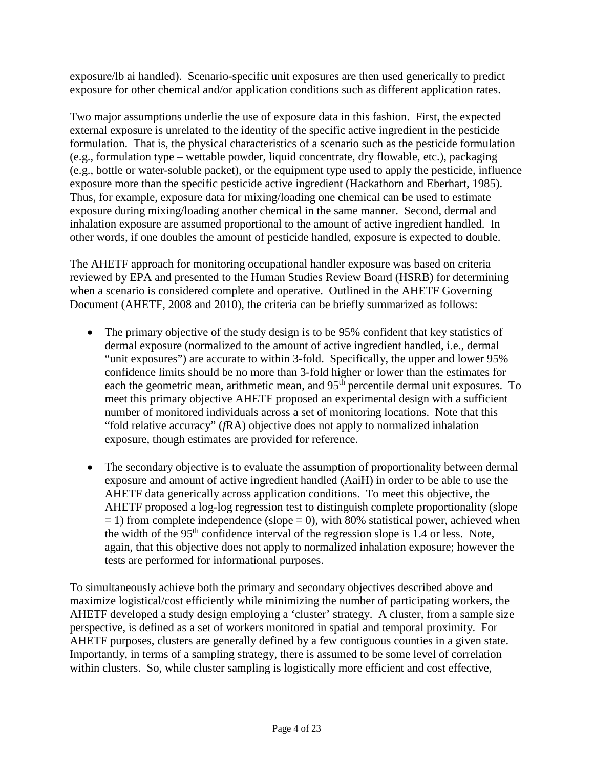exposure/lb ai handled). Scenario-specific unit exposures are then used generically to predict exposure for other chemical and/or application conditions such as different application rates.

Two major assumptions underlie the use of exposure data in this fashion. First, the expected external exposure is unrelated to the identity of the specific active ingredient in the pesticide formulation. That is, the physical characteristics of a scenario such as the pesticide formulation (e.g., formulation type – wettable powder, liquid concentrate, dry flowable, etc.), packaging (e.g., bottle or water-soluble packet), or the equipment type used to apply the pesticide, influence exposure more than the specific pesticide active ingredient (Hackathorn and Eberhart, 1985). Thus, for example, exposure data for mixing/loading one chemical can be used to estimate exposure during mixing/loading another chemical in the same manner. Second, dermal and inhalation exposure are assumed proportional to the amount of active ingredient handled. In other words, if one doubles the amount of pesticide handled, exposure is expected to double.

The AHETF approach for monitoring occupational handler exposure was based on criteria reviewed by EPA and presented to the Human Studies Review Board (HSRB) for determining when a scenario is considered complete and operative. Outlined in the AHETF Governing Document (AHETF, 2008 and 2010), the criteria can be briefly summarized as follows:

- The primary objective of the study design is to be 95% confident that key statistics of dermal exposure (normalized to the amount of active ingredient handled, i.e., dermal "unit exposures") are accurate to within 3-fold. Specifically, the upper and lower 95% confidence limits should be no more than 3-fold higher or lower than the estimates for each the geometric mean, arithmetic mean, and 95<sup>th</sup> percentile dermal unit exposures. To meet this primary objective AHETF proposed an experimental design with a sufficient number of monitored individuals across a set of monitoring locations. Note that this "fold relative accuracy" (*f*RA) objective does not apply to normalized inhalation exposure, though estimates are provided for reference.
- The secondary objective is to evaluate the assumption of proportionality between dermal exposure and amount of active ingredient handled (AaiH) in order to be able to use the AHETF data generically across application conditions. To meet this objective, the AHETF proposed a log-log regression test to distinguish complete proportionality (slope  $= 1$ ) from complete independence (slope  $= 0$ ), with 80% statistical power, achieved when the width of the  $95<sup>th</sup>$  confidence interval of the regression slope is 1.4 or less. Note, again, that this objective does not apply to normalized inhalation exposure; however the tests are performed for informational purposes.

To simultaneously achieve both the primary and secondary objectives described above and maximize logistical/cost efficiently while minimizing the number of participating workers, the AHETF developed a study design employing a 'cluster' strategy. A cluster, from a sample size perspective, is defined as a set of workers monitored in spatial and temporal proximity. For AHETF purposes, clusters are generally defined by a few contiguous counties in a given state. Importantly, in terms of a sampling strategy, there is assumed to be some level of correlation within clusters. So, while cluster sampling is logistically more efficient and cost effective,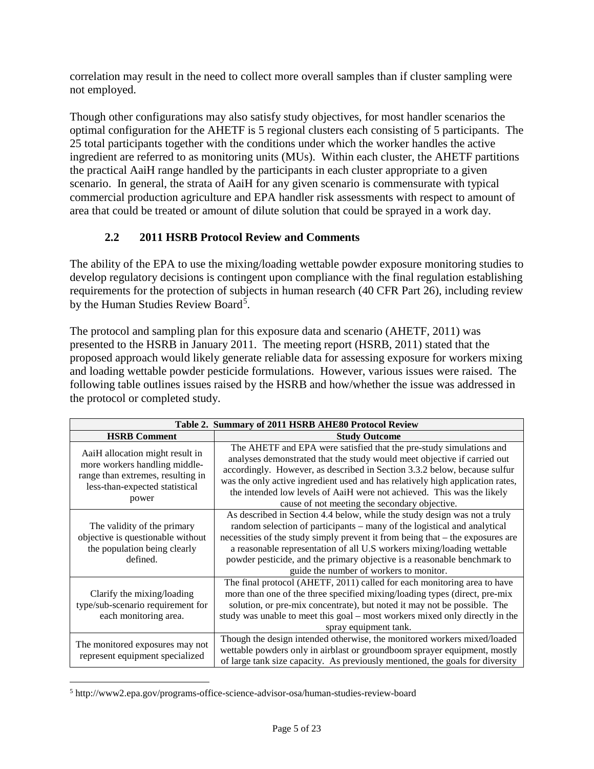correlation may result in the need to collect more overall samples than if cluster sampling were not employed.

Though other configurations may also satisfy study objectives, for most handler scenarios the optimal configuration for the AHETF is 5 regional clusters each consisting of 5 participants. The 25 total participants together with the conditions under which the worker handles the active ingredient are referred to as monitoring units (MUs). Within each cluster, the AHETF partitions the practical AaiH range handled by the participants in each cluster appropriate to a given scenario. In general, the strata of AaiH for any given scenario is commensurate with typical commercial production agriculture and EPA handler risk assessments with respect to amount of area that could be treated or amount of dilute solution that could be sprayed in a work day.

# **2.2 2011 HSRB Protocol Review and Comments**

The ability of the EPA to use the mixing/loading wettable powder exposure monitoring studies to develop regulatory decisions is contingent upon compliance with the final regulation establishing requirements for the protection of subjects in human research (40 CFR Part 26), including review by the Human Studies Review Board<sup>[5](#page-4-0)</sup>.

The protocol and sampling plan for this exposure data and scenario (AHETF, 2011) was presented to the HSRB in January 2011. The meeting report (HSRB, 2011) stated that the proposed approach would likely generate reliable data for assessing exposure for workers mixing and loading wettable powder pesticide formulations. However, various issues were raised. The following table outlines issues raised by the HSRB and how/whether the issue was addressed in the protocol or completed study.

| Table 2. Summary of 2011 HSRB AHE80 Protocol Review                                                                                              |                                                                                                                                                                                                                                                                                                                                                                                                                                           |  |  |  |
|--------------------------------------------------------------------------------------------------------------------------------------------------|-------------------------------------------------------------------------------------------------------------------------------------------------------------------------------------------------------------------------------------------------------------------------------------------------------------------------------------------------------------------------------------------------------------------------------------------|--|--|--|
| <b>HSRB</b> Comment                                                                                                                              | <b>Study Outcome</b>                                                                                                                                                                                                                                                                                                                                                                                                                      |  |  |  |
| AaiH allocation might result in<br>more workers handling middle-<br>range than extremes, resulting in<br>less-than-expected statistical<br>power | The AHETF and EPA were satisfied that the pre-study simulations and<br>analyses demonstrated that the study would meet objective if carried out<br>accordingly. However, as described in Section 3.3.2 below, because sulfur<br>was the only active ingredient used and has relatively high application rates,<br>the intended low levels of AaiH were not achieved. This was the likely<br>cause of not meeting the secondary objective. |  |  |  |
| The validity of the primary<br>objective is questionable without<br>the population being clearly<br>defined.                                     | As described in Section 4.4 below, while the study design was not a truly<br>random selection of participants – many of the logistical and analytical<br>necessities of the study simply prevent it from being that – the exposures are<br>a reasonable representation of all U.S workers mixing/loading wettable<br>powder pesticide, and the primary objective is a reasonable benchmark to<br>guide the number of workers to monitor.  |  |  |  |
| Clarify the mixing/loading<br>type/sub-scenario requirement for<br>each monitoring area.                                                         | The final protocol (AHETF, 2011) called for each monitoring area to have<br>more than one of the three specified mixing/loading types (direct, pre-mix<br>solution, or pre-mix concentrate), but noted it may not be possible. The<br>study was unable to meet this goal – most workers mixed only directly in the<br>spray equipment tank.                                                                                               |  |  |  |
| The monitored exposures may not<br>represent equipment specialized                                                                               | Though the design intended otherwise, the monitored workers mixed/loaded<br>wettable powders only in airblast or groundboom sprayer equipment, mostly<br>of large tank size capacity. As previously mentioned, the goals for diversity                                                                                                                                                                                                    |  |  |  |

<span id="page-4-0"></span> $\overline{a}$ <sup>5</sup> http://www2.epa.gov/programs-office-science-advisor-osa/human-studies-review-board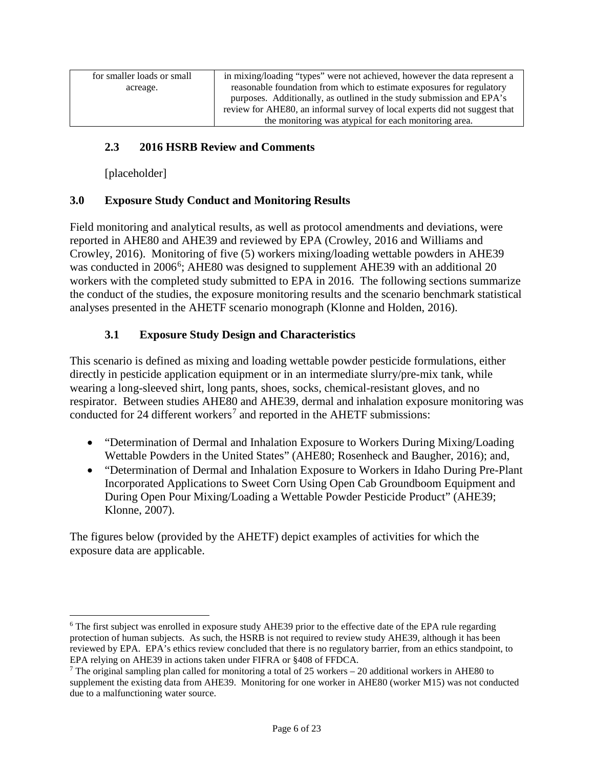| for smaller loads or small | in mixing/loading "types" were not achieved, however the data represent a  |
|----------------------------|----------------------------------------------------------------------------|
| acreage.                   | reasonable foundation from which to estimate exposures for regulatory      |
|                            | purposes. Additionally, as outlined in the study submission and EPA's      |
|                            | review for AHE80, an informal survey of local experts did not suggest that |
|                            | the monitoring was atypical for each monitoring area.                      |

## **2.3 2016 HSRB Review and Comments**

[placeholder]

## **3.0 Exposure Study Conduct and Monitoring Results**

Field monitoring and analytical results, as well as protocol amendments and deviations, were reported in AHE80 and AHE39 and reviewed by EPA (Crowley, 2016 and Williams and Crowley, 2016). Monitoring of five (5) workers mixing/loading wettable powders in AHE39 was conducted in 200[6](#page-5-0)<sup>6</sup>; AHE80 was designed to supplement AHE39 with an additional 20 workers with the completed study submitted to EPA in 2016. The following sections summarize the conduct of the studies, the exposure monitoring results and the scenario benchmark statistical analyses presented in the AHETF scenario monograph (Klonne and Holden, 2016).

## **3.1 Exposure Study Design and Characteristics**

This scenario is defined as mixing and loading wettable powder pesticide formulations, either directly in pesticide application equipment or in an intermediate slurry/pre-mix tank, while wearing a long-sleeved shirt, long pants, shoes, socks, chemical-resistant gloves, and no respirator. Between studies AHE80 and AHE39, dermal and inhalation exposure monitoring was conducted for 24 different workers<sup>[7](#page-5-1)</sup> and reported in the AHETF submissions:

- "Determination of Dermal and Inhalation Exposure to Workers During Mixing/Loading Wettable Powders in the United States" (AHE80; Rosenheck and Baugher, 2016); and,
- "Determination of Dermal and Inhalation Exposure to Workers in Idaho During Pre-Plant Incorporated Applications to Sweet Corn Using Open Cab Groundboom Equipment and During Open Pour Mixing/Loading a Wettable Powder Pesticide Product" (AHE39; Klonne, 2007).

The figures below (provided by the AHETF) depict examples of activities for which the exposure data are applicable.

<span id="page-5-0"></span><sup>&</sup>lt;sup>6</sup> The first subject was enrolled in exposure study AHE39 prior to the effective date of the EPA rule regarding protection of human subjects. As such, the HSRB is not required to review study AHE39, although it has been reviewed by EPA. EPA's ethics review concluded that there is no regulatory barrier, from an ethics standpoint, to EPA relying on AHE39 in actions taken under FIFRA or §408 of FFDCA.

<span id="page-5-1"></span><sup>7</sup> The original sampling plan called for monitoring a total of 25 workers – 20 additional workers in AHE80 to supplement the existing data from AHE39. Monitoring for one worker in AHE80 (worker M15) was not conducted due to a malfunctioning water source.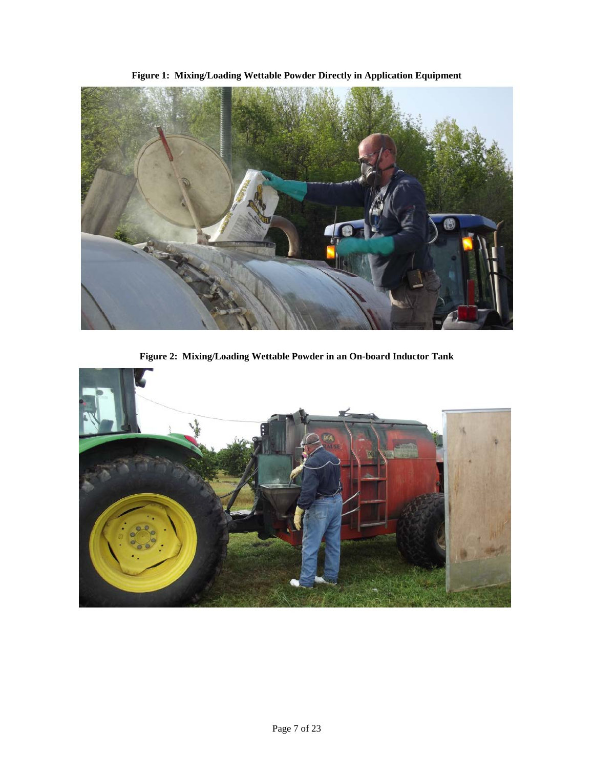



**Figure 2: Mixing/Loading Wettable Powder in an On-board Inductor Tank**

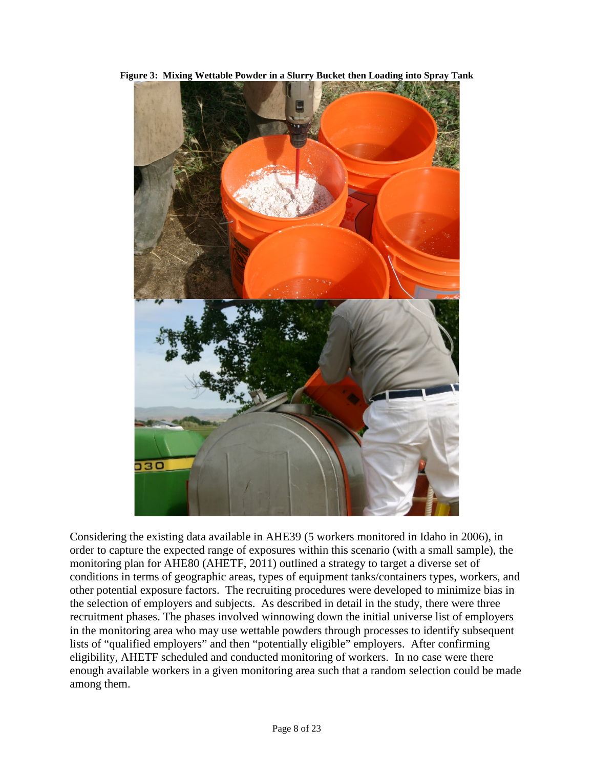

**Figure 3: Mixing Wettable Powder in a Slurry Bucket then Loading into Spray Tank**

Considering the existing data available in AHE39 (5 workers monitored in Idaho in 2006), in order to capture the expected range of exposures within this scenario (with a small sample), the monitoring plan for AHE80 (AHETF, 2011) outlined a strategy to target a diverse set of conditions in terms of geographic areas, types of equipment tanks/containers types, workers, and other potential exposure factors. The recruiting procedures were developed to minimize bias in the selection of employers and subjects. As described in detail in the study, there were three recruitment phases. The phases involved winnowing down the initial universe list of employers in the monitoring area who may use wettable powders through processes to identify subsequent lists of "qualified employers" and then "potentially eligible" employers. After confirming eligibility, AHETF scheduled and conducted monitoring of workers. In no case were there enough available workers in a given monitoring area such that a random selection could be made among them.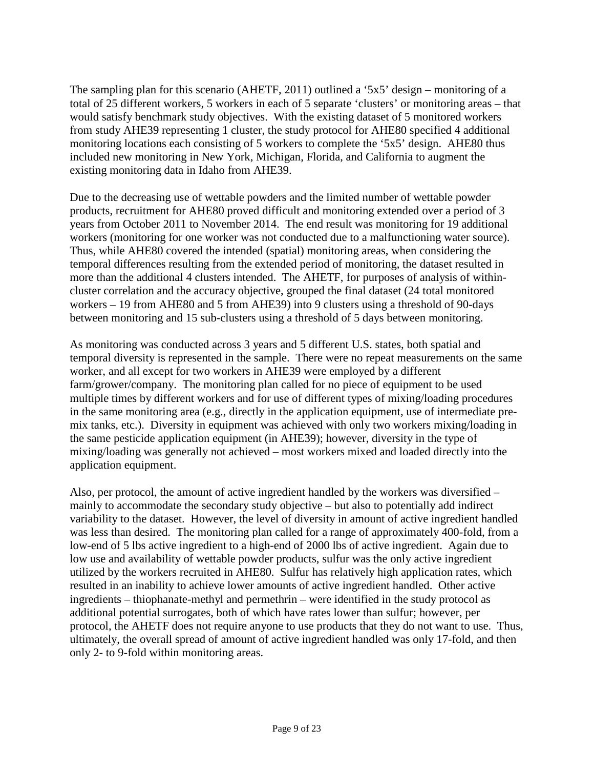The sampling plan for this scenario (AHETF, 2011) outlined a '5x5' design – monitoring of a total of 25 different workers, 5 workers in each of 5 separate 'clusters' or monitoring areas – that would satisfy benchmark study objectives. With the existing dataset of 5 monitored workers from study AHE39 representing 1 cluster, the study protocol for AHE80 specified 4 additional monitoring locations each consisting of 5 workers to complete the '5x5' design. AHE80 thus included new monitoring in New York, Michigan, Florida, and California to augment the existing monitoring data in Idaho from AHE39.

Due to the decreasing use of wettable powders and the limited number of wettable powder products, recruitment for AHE80 proved difficult and monitoring extended over a period of 3 years from October 2011 to November 2014. The end result was monitoring for 19 additional workers (monitoring for one worker was not conducted due to a malfunctioning water source). Thus, while AHE80 covered the intended (spatial) monitoring areas, when considering the temporal differences resulting from the extended period of monitoring, the dataset resulted in more than the additional 4 clusters intended. The AHETF, for purposes of analysis of withincluster correlation and the accuracy objective, grouped the final dataset (24 total monitored workers – 19 from AHE80 and 5 from AHE39) into 9 clusters using a threshold of 90-days between monitoring and 15 sub-clusters using a threshold of 5 days between monitoring.

As monitoring was conducted across 3 years and 5 different U.S. states, both spatial and temporal diversity is represented in the sample. There were no repeat measurements on the same worker, and all except for two workers in AHE39 were employed by a different farm/grower/company. The monitoring plan called for no piece of equipment to be used multiple times by different workers and for use of different types of mixing/loading procedures in the same monitoring area (e.g., directly in the application equipment, use of intermediate premix tanks, etc.). Diversity in equipment was achieved with only two workers mixing/loading in the same pesticide application equipment (in AHE39); however, diversity in the type of mixing/loading was generally not achieved – most workers mixed and loaded directly into the application equipment.

Also, per protocol, the amount of active ingredient handled by the workers was diversified – mainly to accommodate the secondary study objective – but also to potentially add indirect variability to the dataset. However, the level of diversity in amount of active ingredient handled was less than desired. The monitoring plan called for a range of approximately 400-fold, from a low-end of 5 lbs active ingredient to a high-end of 2000 lbs of active ingredient. Again due to low use and availability of wettable powder products, sulfur was the only active ingredient utilized by the workers recruited in AHE80. Sulfur has relatively high application rates, which resulted in an inability to achieve lower amounts of active ingredient handled. Other active ingredients – thiophanate-methyl and permethrin – were identified in the study protocol as additional potential surrogates, both of which have rates lower than sulfur; however, per protocol, the AHETF does not require anyone to use products that they do not want to use. Thus, ultimately, the overall spread of amount of active ingredient handled was only 17-fold, and then only 2- to 9-fold within monitoring areas.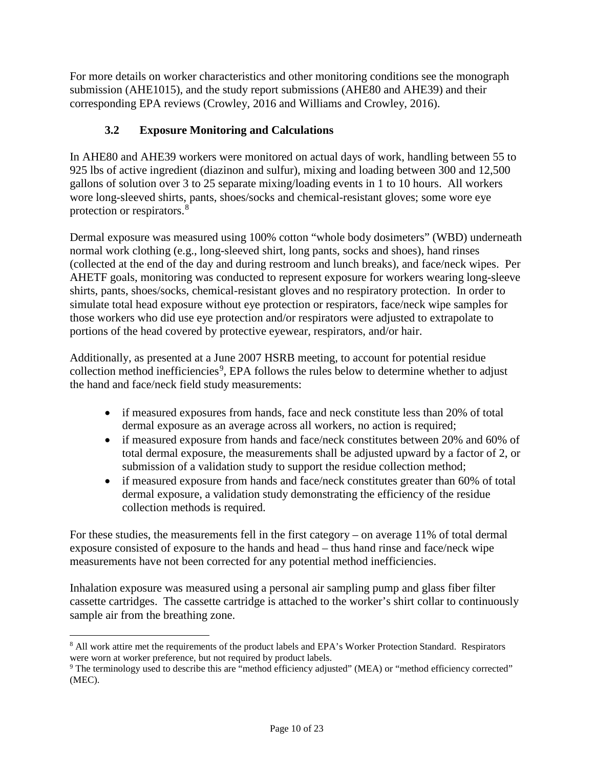For more details on worker characteristics and other monitoring conditions see the monograph submission (AHE1015), and the study report submissions (AHE80 and AHE39) and their corresponding EPA reviews (Crowley, 2016 and Williams and Crowley, 2016).

# **3.2 Exposure Monitoring and Calculations**

In AHE80 and AHE39 workers were monitored on actual days of work, handling between 55 to 925 lbs of active ingredient (diazinon and sulfur), mixing and loading between 300 and 12,500 gallons of solution over 3 to 25 separate mixing/loading events in 1 to 10 hours. All workers wore long-sleeved shirts, pants, shoes/socks and chemical-resistant gloves; some wore eye protection or respirators.[8](#page-9-0)

Dermal exposure was measured using 100% cotton "whole body dosimeters" (WBD) underneath normal work clothing (e.g., long-sleeved shirt, long pants, socks and shoes), hand rinses (collected at the end of the day and during restroom and lunch breaks), and face/neck wipes. Per AHETF goals, monitoring was conducted to represent exposure for workers wearing long-sleeve shirts, pants, shoes/socks, chemical-resistant gloves and no respiratory protection. In order to simulate total head exposure without eye protection or respirators, face/neck wipe samples for those workers who did use eye protection and/or respirators were adjusted to extrapolate to portions of the head covered by protective eyewear, respirators, and/or hair.

Additionally, as presented at a June 2007 HSRB meeting, to account for potential residue collection method inefficiencies<sup>[9](#page-9-1)</sup>, EPA follows the rules below to determine whether to adjust the hand and face/neck field study measurements:

- if measured exposures from hands, face and neck constitute less than 20% of total dermal exposure as an average across all workers, no action is required;
- if measured exposure from hands and face/neck constitutes between 20% and 60% of total dermal exposure, the measurements shall be adjusted upward by a factor of 2, or submission of a validation study to support the residue collection method;
- if measured exposure from hands and face/neck constitutes greater than 60% of total dermal exposure, a validation study demonstrating the efficiency of the residue collection methods is required.

For these studies, the measurements fell in the first category – on average 11% of total dermal exposure consisted of exposure to the hands and head – thus hand rinse and face/neck wipe measurements have not been corrected for any potential method inefficiencies.

Inhalation exposure was measured using a personal air sampling pump and glass fiber filter cassette cartridges. The cassette cartridge is attached to the worker's shirt collar to continuously sample air from the breathing zone.

<span id="page-9-0"></span> <sup>8</sup> All work attire met the requirements of the product labels and EPA's Worker Protection Standard. Respirators were worn at worker preference, but not required by product labels.

<span id="page-9-1"></span><sup>&</sup>lt;sup>9</sup> The terminology used to describe this are "method efficiency adjusted" (MEA) or "method efficiency corrected" (MEC).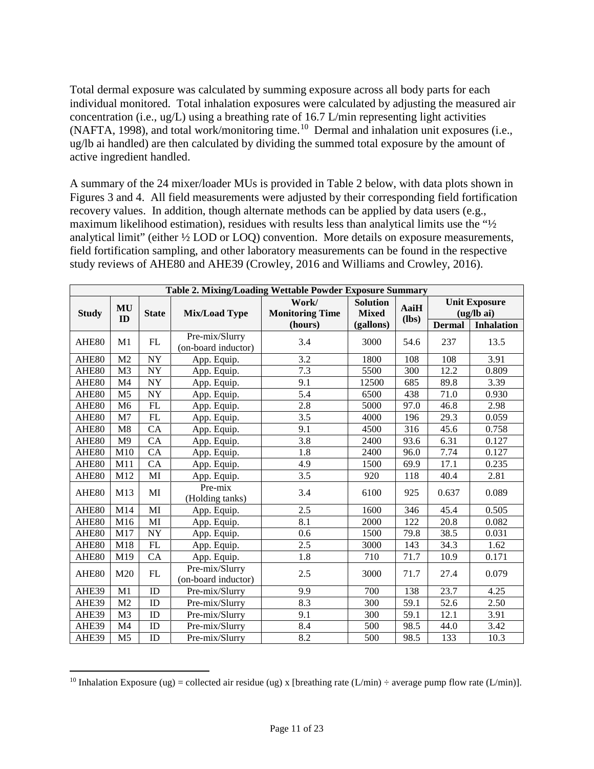Total dermal exposure was calculated by summing exposure across all body parts for each individual monitored. Total inhalation exposures were calculated by adjusting the measured air concentration (i.e., ug/L) using a breathing rate of 16.7 L/min representing light activities (NAFTA, 1998), and total work/monitoring time.<sup>[10](#page-10-1)</sup> Dermal and inhalation unit exposures (i.e., ug/lb ai handled) are then calculated by dividing the summed total exposure by the amount of active ingredient handled.

A summary of the 24 mixer/loader MUs is provided in [Table 2](#page-10-0) below, with data plots shown in Figures 3 and 4. All field measurements were adjusted by their corresponding field fortification recovery values. In addition, though alternate methods can be applied by data users (e.g., maximum likelihood estimation), residues with results less than analytical limits use the "½ analytical limit" (either ½ LOD or LOQ) convention. More details on exposure measurements, field fortification sampling, and other laboratory measurements can be found in the respective study reviews of AHE80 and AHE39 (Crowley, 2016 and Williams and Crowley, 2016).

<span id="page-10-0"></span>

| Table 2. Mixing/Loading Wettable Powder Exposure Summary |                |                          |                                       |                                 |                                 |                 |                                    |                   |  |
|----------------------------------------------------------|----------------|--------------------------|---------------------------------------|---------------------------------|---------------------------------|-----------------|------------------------------------|-------------------|--|
| <b>Study</b>                                             | MU<br>ID       | <b>State</b>             | <b>Mix/Load Type</b>                  | Work/<br><b>Monitoring Time</b> | <b>Solution</b><br><b>Mixed</b> | AaiH<br>$(lbs)$ | <b>Unit Exposure</b><br>(ug/lb ai) |                   |  |
|                                                          |                |                          |                                       | (hours)                         | (gallons)                       |                 | <b>Dermal</b>                      | <b>Inhalation</b> |  |
| AHE80                                                    | M1             | FL                       | Pre-mix/Slurry<br>(on-board inductor) | 3.4                             | 3000                            | 54.6            | 237                                | 13.5              |  |
| AHE80                                                    | M <sub>2</sub> | <b>NY</b>                | App. Equip.                           | 3.2                             | 1800                            | 108             | 108                                | 3.91              |  |
| AHE80                                                    | M <sub>3</sub> | <b>NY</b>                | App. Equip.                           | 7.3                             | 5500                            | 300             | 12.2                               | 0.809             |  |
| AHE80                                                    | M <sub>4</sub> | <b>NY</b>                | App. Equip.                           | 9.1                             | 12500                           | 685             | 89.8                               | 3.39              |  |
| AHE80                                                    | M <sub>5</sub> | <b>NY</b>                | App. Equip.                           | 5.4                             | 6500                            | 438             | 71.0                               | 0.930             |  |
| AHE80                                                    | M6             | FL                       | App. Equip.                           | 2.8                             | 5000                            | 97.0            | 46.8                               | 2.98              |  |
| AHE80                                                    | M <sub>7</sub> | $\mathbf{FL}$            | App. Equip.                           | 3.5                             | 4000                            | 196             | 29.3                               | 0.059             |  |
| AHE80                                                    | M8             | CA                       | App. Equip.                           | 9.1                             | 4500                            | 316             | 45.6                               | 0.758             |  |
| AHE80                                                    | M <sub>9</sub> | CA                       | App. Equip.                           | 3.8                             | 2400                            | 93.6            | 6.31                               | 0.127             |  |
| AHE80                                                    | M10            | CA                       | App. Equip.                           | 1.8                             | 2400                            | 96.0            | 7.74                               | 0.127             |  |
| AHE80                                                    | M11            | CA                       | App. Equip.                           | 4.9                             | 1500                            | 69.9            | 17.1                               | 0.235             |  |
| AHE80                                                    | M12            | MI                       | App. Equip.                           | 3.5                             | 920                             | 118             | 40.4                               | 2.81              |  |
| AHE80                                                    | M13            | MI                       | Pre-mix<br>(Holding tanks)            | 3.4                             | 6100                            | 925             | 0.637                              | 0.089             |  |
| AHE80                                                    | M14            | MI                       | App. Equip.                           | 2.5                             | 1600                            | 346             | 45.4                               | 0.505             |  |
| AHE80                                                    | M16            | MI                       | App. Equip.                           | 8.1                             | 2000                            | 122             | 20.8                               | 0.082             |  |
| AHE80                                                    | M17            | $\ensuremath{\text{NY}}$ | App. Equip.                           | 0.6                             | 1500                            | 79.8            | 38.5                               | 0.031             |  |
| AHE80                                                    | M18            | FL                       | App. Equip.                           | 2.5                             | 3000                            | 143             | 34.3                               | 1.62              |  |
| AHE80                                                    | M19            | CA                       | App. Equip.                           | 1.8                             | 710                             | 71.7            | 10.9                               | 0.171             |  |
| AHE80                                                    | M20            | FL                       | Pre-mix/Slurry<br>(on-board inductor) | 2.5                             | 3000                            | 71.7            | 27.4                               | 0.079             |  |
| AHE39                                                    | M1             | ID                       | Pre-mix/Slurry                        | 9.9                             | 700                             | 138             | 23.7                               | 4.25              |  |
| AHE39                                                    | M <sub>2</sub> | ID                       | Pre-mix/Slurry                        | 8.3                             | 300                             | 59.1            | 52.6                               | 2.50              |  |
| AHE39                                                    | M <sub>3</sub> | ID                       | Pre-mix/Slurry                        | 9.1                             | 300                             | 59.1            | 12.1                               | 3.91              |  |
| AHE39                                                    | M <sub>4</sub> | ID                       | Pre-mix/Slurry                        | 8.4                             | 500                             | 98.5            | 44.0                               | 3.42              |  |
| AHE39                                                    | M <sub>5</sub> | ID                       | Pre-mix/Slurry                        | 8.2                             | 500                             | 98.5            | 133                                | 10.3              |  |

<span id="page-10-1"></span><sup>&</sup>lt;sup>10</sup> Inhalation Exposure (ug) = collected air residue (ug) x [breathing rate (L/min)  $\div$  average pump flow rate (L/min)].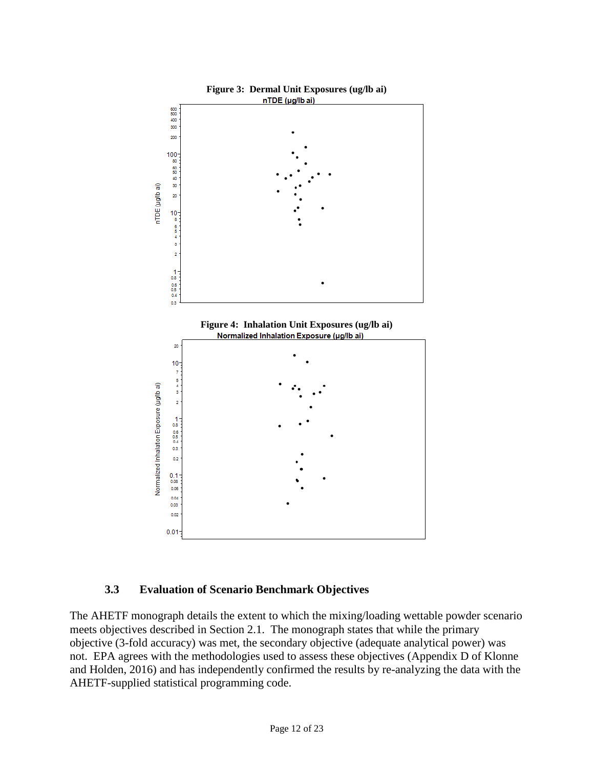

#### **3.3 Evaluation of Scenario Benchmark Objectives**

The AHETF monograph details the extent to which the mixing/loading wettable powder scenario meets objectives described in Section 2.1. The monograph states that while the primary objective (3-fold accuracy) was met, the secondary objective (adequate analytical power) was not. EPA agrees with the methodologies used to assess these objectives (Appendix D of Klonne and Holden, 2016) and has independently confirmed the results by re-analyzing the data with the AHETF-supplied statistical programming code.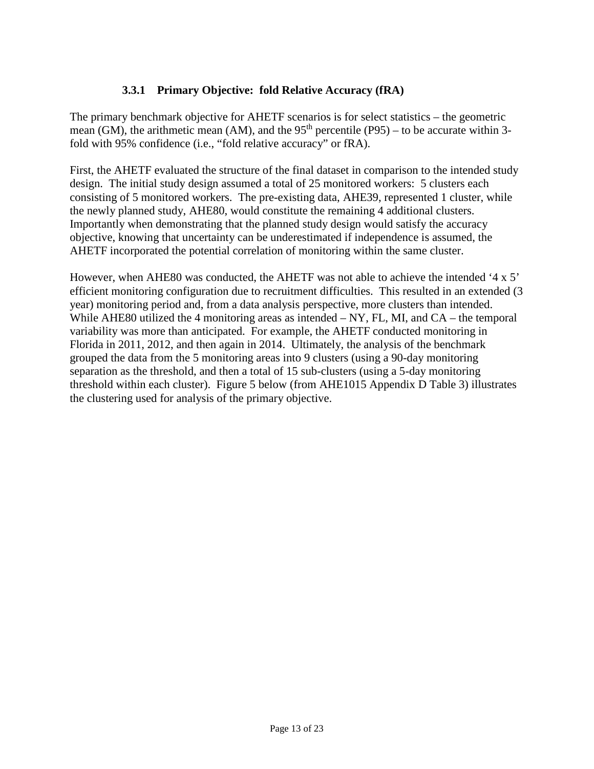## **3.3.1 Primary Objective: fold Relative Accuracy (fRA)**

The primary benchmark objective for AHETF scenarios is for select statistics – the geometric mean (GM), the arithmetic mean (AM), and the  $95<sup>th</sup>$  percentile (P95) – to be accurate within 3fold with 95% confidence (i.e., "fold relative accuracy" or fRA).

First, the AHETF evaluated the structure of the final dataset in comparison to the intended study design. The initial study design assumed a total of 25 monitored workers: 5 clusters each consisting of 5 monitored workers. The pre-existing data, AHE39, represented 1 cluster, while the newly planned study, AHE80, would constitute the remaining 4 additional clusters. Importantly when demonstrating that the planned study design would satisfy the accuracy objective, knowing that uncertainty can be underestimated if independence is assumed, the AHETF incorporated the potential correlation of monitoring within the same cluster.

However, when AHE80 was conducted, the AHETF was not able to achieve the intended '4 x 5' efficient monitoring configuration due to recruitment difficulties. This resulted in an extended (3 year) monitoring period and, from a data analysis perspective, more clusters than intended. While AHE80 utilized the 4 monitoring areas as intended – NY, FL, MI, and CA – the temporal variability was more than anticipated. For example, the AHETF conducted monitoring in Florida in 2011, 2012, and then again in 2014. Ultimately, the analysis of the benchmark grouped the data from the 5 monitoring areas into 9 clusters (using a 90-day monitoring separation as the threshold, and then a total of 15 sub-clusters (using a 5-day monitoring threshold within each cluster). Figure 5 below (from AHE1015 Appendix D Table 3) illustrates the clustering used for analysis of the primary objective.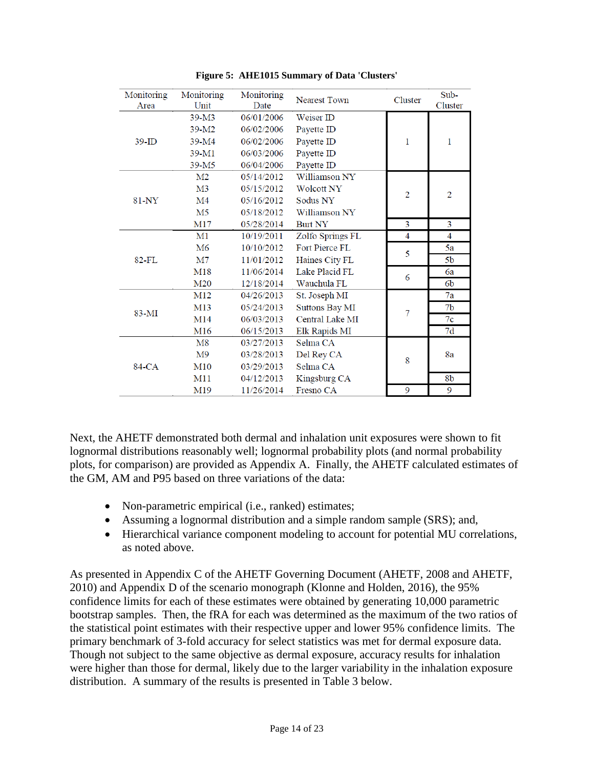| Monitoring<br>Area | Monitoring<br>Unit | Monitoring<br>Date | <b>Nearest Town</b>   | Cluster        | Sub-<br>Cluster |
|--------------------|--------------------|--------------------|-----------------------|----------------|-----------------|
|                    | $39-M3$            | 06/01/2006         | Weiser ID             |                |                 |
|                    | $39-M2$            | 06/02/2006         | Payette ID            |                |                 |
| $39$ -ID           | 39-M4              | 06/02/2006         | Payette ID            | 1              | 1               |
|                    | 39-M1              | 06/03/2006         | Payette ID            |                |                 |
|                    | 39-M <sub>5</sub>  | 06/04/2006         | Payette ID            |                |                 |
|                    | M2                 | 05/14/2012         | Williamson NY         |                |                 |
|                    | M <sub>3</sub>     | 05/15/2012         | <b>Wolcott NY</b>     | $\overline{2}$ | $\overline{2}$  |
| 81-NY              | M <sub>4</sub>     | 05/16/2012         | Sodus NY              |                |                 |
|                    | M5                 | 05/18/2012         | Williamson NY         |                |                 |
|                    | M17                | 05/28/2014         | <b>Burt NY</b>        | 3              | 3               |
|                    | M1                 | 10/19/2011         | Zolfo Springs FL      | 4              | $\overline{4}$  |
|                    | M6                 | 10/10/2012         | Fort Pierce FL        | 5              | 5a              |
| $82-FL$            | M <sub>7</sub>     | 11/01/2012         | Haines City FL        |                | 5 <sub>b</sub>  |
|                    | M18                | 11/06/2014         | Lake Placid FL        | 6              | 6a              |
|                    | M <sub>20</sub>    | 12/18/2014         | Wauchula FL           |                | 6 <sub>b</sub>  |
|                    | M12                | 04/26/2013         | St. Joseph MI         |                | 7a              |
| 83-MI              | M13                | 05/24/2013         | <b>Suttons Bay MI</b> | 7              | 7 <sub>b</sub>  |
|                    | M14                | 06/03/2013         | Central Lake MI       |                | $\overline{7c}$ |
|                    | M <sub>16</sub>    | 06/15/2013         | Elk Rapids MI         |                | 7d              |
|                    | M8                 | 03/27/2013         | Selma CA              |                |                 |
| 84-CA              | M9                 | 03/28/2013         | Del Rey CA            |                | 8a              |
|                    | M10                | 03/29/2013         | Selma CA              | 8              |                 |
|                    | M11                | 04/12/2013         | Kingsburg CA          |                | 8b              |
|                    | M19                | 11/26/2014         | Fresno CA             | 9              | 9               |

**Figure 5: AHE1015 Summary of Data 'Clusters'**

Next, the AHETF demonstrated both dermal and inhalation unit exposures were shown to fit lognormal distributions reasonably well; lognormal probability plots (and normal probability plots, for comparison) are provided as Appendix A. Finally, the AHETF calculated estimates of the GM, AM and P95 based on three variations of the data:

- Non-parametric empirical (i.e., ranked) estimates;
- Assuming a lognormal distribution and a simple random sample (SRS); and,
- Hierarchical variance component modeling to account for potential MU correlations, as noted above.

As presented in Appendix C of the AHETF Governing Document (AHETF, 2008 and AHETF, 2010) and Appendix D of the scenario monograph (Klonne and Holden, 2016), the 95% confidence limits for each of these estimates were obtained by generating 10,000 parametric bootstrap samples. Then, the fRA for each was determined as the maximum of the two ratios of the statistical point estimates with their respective upper and lower 95% confidence limits. The primary benchmark of 3-fold accuracy for select statistics was met for dermal exposure data. Though not subject to the same objective as dermal exposure, accuracy results for inhalation were higher than those for dermal, likely due to the larger variability in the inhalation exposure distribution. A summary of the results is presented in Table 3 below.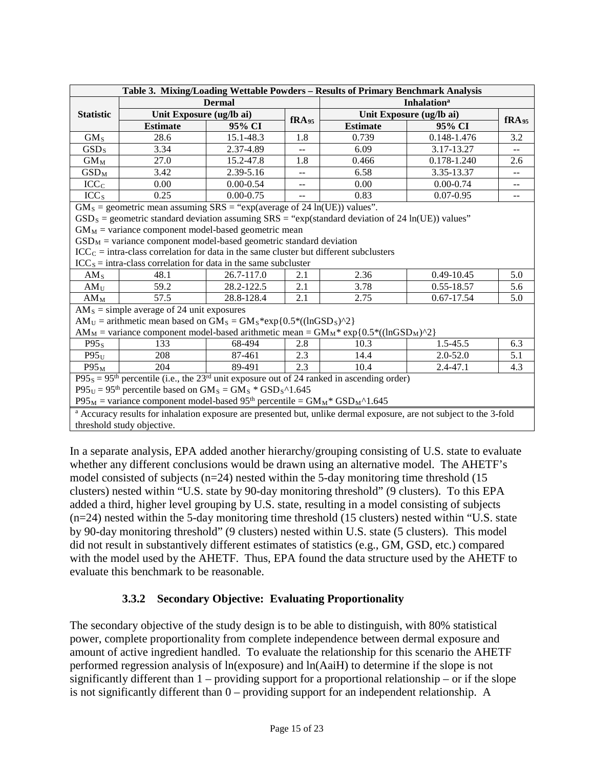| Table 3. Mixing/Loading Wettable Powders - Results of Primary Benchmark Analysis                                   |                                                                                                                     |                          |                                |                                                                                                       |                   |       |  |
|--------------------------------------------------------------------------------------------------------------------|---------------------------------------------------------------------------------------------------------------------|--------------------------|--------------------------------|-------------------------------------------------------------------------------------------------------|-------------------|-------|--|
|                                                                                                                    |                                                                                                                     | <b>Dermal</b>            | <b>Inhalation</b> <sup>a</sup> |                                                                                                       |                   |       |  |
| <b>Statistic</b>                                                                                                   |                                                                                                                     | Unit Exposure (ug/lb ai) |                                | Unit Exposure (ug/lb ai)                                                                              | fRA <sub>95</sub> |       |  |
|                                                                                                                    | <b>Estimate</b>                                                                                                     | 95% CI                   | fRA <sub>95</sub>              | <b>Estimate</b>                                                                                       | 95% CI            |       |  |
| GM <sub>S</sub>                                                                                                    | 28.6                                                                                                                | 15.1-48.3                | 1.8                            | 0.739                                                                                                 | 0.148-1.476       | 3.2   |  |
| GSD <sub>S</sub>                                                                                                   | 3.34                                                                                                                | 2.37-4.89                | --                             | 6.09                                                                                                  | 3.17-13.27        | $- -$ |  |
| $GM_M$                                                                                                             | 27.0                                                                                                                | 15.2-47.8                | 1.8                            | 0.466                                                                                                 | 0.178-1.240       | 2.6   |  |
| $GSD_M$                                                                                                            | 3.42                                                                                                                | 2.39-5.16                | --                             | 6.58                                                                                                  | 3.35-13.37        |       |  |
| ICC <sub>c</sub>                                                                                                   | 0.00                                                                                                                | $0.00 - 0.54$            | --                             | 0.00                                                                                                  | $0.00 - 0.74$     | --    |  |
| ICC <sub>s</sub>                                                                                                   | 0.25                                                                                                                | $0.00 - 0.75$            |                                | 0.83                                                                                                  | $0.07 - 0.95$     | $- -$ |  |
|                                                                                                                    | $GM_s$ = geometric mean assuming SRS = "exp(average of 24 ln(UE)) values".                                          |                          |                                |                                                                                                       |                   |       |  |
|                                                                                                                    |                                                                                                                     |                          |                                | $GSD_S$ = geometric standard deviation assuming $SRS$ = "exp(standard deviation of 24 ln(UE)) values" |                   |       |  |
|                                                                                                                    | $GM_M$ = variance component model-based geometric mean                                                              |                          |                                |                                                                                                       |                   |       |  |
|                                                                                                                    | $GSD_M$ = variance component model-based geometric standard deviation                                               |                          |                                |                                                                                                       |                   |       |  |
|                                                                                                                    | $\text{ICC}_C = \text{intra-class correlation}$ for data in the same cluster but different subclusters              |                          |                                |                                                                                                       |                   |       |  |
|                                                                                                                    | $ICCS = intra-class correlation for data in the same subcluster$                                                    |                          |                                |                                                                                                       |                   |       |  |
| AM <sub>S</sub>                                                                                                    | 48.1                                                                                                                | 26.7-117.0               | 2.1                            | 2.36                                                                                                  | 0.49-10.45        | 5.0   |  |
| AM <sub>U</sub>                                                                                                    | 59.2                                                                                                                | 28.2-122.5               | 2.1                            | 3.78                                                                                                  | $0.55 - 18.57$    | 5.6   |  |
| $AM_M$                                                                                                             | 57.5                                                                                                                | 28.8-128.4               | 2.1                            | 2.75                                                                                                  | 0.67-17.54        | 5.0   |  |
|                                                                                                                    | $AM_s$ = simple average of 24 unit exposures                                                                        |                          |                                |                                                                                                       |                   |       |  |
|                                                                                                                    | $AM_U =$ arithmetic mean based on $GM_S = GM_S * exp{0.5 * ((lnGSD_S)^2)}$                                          |                          |                                |                                                                                                       |                   |       |  |
|                                                                                                                    |                                                                                                                     |                          |                                | $AM_M$ = variance component model-based arithmetic mean = $GM_M$ * exp{0.5*((lnGSD <sub>M</sub> )^2}  |                   |       |  |
| P95 <sub>S</sub>                                                                                                   | 133                                                                                                                 | 68-494                   | 2.8                            | 10.3                                                                                                  | 1.5-45.5          | 6.3   |  |
| $P95_U$                                                                                                            | 208                                                                                                                 | 87-461                   | 2.3                            | 14.4                                                                                                  | $2.0 - 52.0$      | 5.1   |  |
| $P95_M$                                                                                                            | 204                                                                                                                 | 89-491                   | 2.3                            | 10.4                                                                                                  | $2.4 - 47.1$      | 4.3   |  |
|                                                                                                                    |                                                                                                                     |                          |                                | $P95_s = 95th$ percentile (i.e., the $23rd$ unit exposure out of 24 ranked in ascending order)        |                   |       |  |
| $P95U = 95th$ percentile based on GM <sub>S</sub> = GM <sub>S</sub> * GSD <sub>S</sub> ^1.645                      |                                                                                                                     |                          |                                |                                                                                                       |                   |       |  |
| $P95_M$ = variance component model-based 95 <sup>th</sup> percentile = $GM_M$ <sup>*</sup> GSD <sub>M</sub> ^1.645 |                                                                                                                     |                          |                                |                                                                                                       |                   |       |  |
|                                                                                                                    | a Accuracy results for inhalation exposure are presented but, unlike dermal exposure, are not subject to the 3-fold |                          |                                |                                                                                                       |                   |       |  |
|                                                                                                                    | threshold study objective.                                                                                          |                          |                                |                                                                                                       |                   |       |  |

In a separate analysis, EPA added another hierarchy/grouping consisting of U.S. state to evaluate whether any different conclusions would be drawn using an alternative model. The AHETF's model consisted of subjects  $(n=24)$  nested within the 5-day monitoring time threshold (15) clusters) nested within "U.S. state by 90-day monitoring threshold" (9 clusters). To this EPA added a third, higher level grouping by U.S. state, resulting in a model consisting of subjects (n=24) nested within the 5-day monitoring time threshold (15 clusters) nested within "U.S. state by 90-day monitoring threshold" (9 clusters) nested within U.S. state (5 clusters). This model did not result in substantively different estimates of statistics (e.g., GM, GSD, etc.) compared with the model used by the AHETF. Thus, EPA found the data structure used by the AHETF to evaluate this benchmark to be reasonable.

# **3.3.2 Secondary Objective: Evaluating Proportionality**

The secondary objective of the study design is to be able to distinguish, with 80% statistical power, complete proportionality from complete independence between dermal exposure and amount of active ingredient handled. To evaluate the relationship for this scenario the AHETF performed regression analysis of ln(exposure) and ln(AaiH) to determine if the slope is not significantly different than 1 – providing support for a proportional relationship – or if the slope is not significantly different than 0 – providing support for an independent relationship. A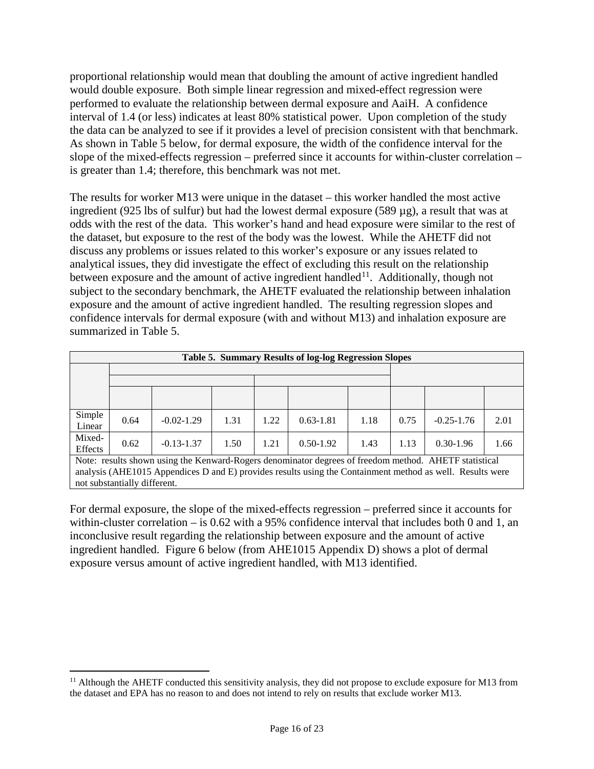proportional relationship would mean that doubling the amount of active ingredient handled would double exposure. Both simple linear regression and mixed-effect regression were performed to evaluate the relationship between dermal exposure and AaiH. A confidence interval of 1.4 (or less) indicates at least 80% statistical power. Upon completion of the study the data can be analyzed to see if it provides a level of precision consistent with that benchmark. As shown in Table 5 below, for dermal exposure, the width of the confidence interval for the slope of the mixed-effects regression – preferred since it accounts for within-cluster correlation – is greater than 1.4; therefore, this benchmark was not met.

The results for worker M13 were unique in the dataset – this worker handled the most active ingredient (925 lbs of sulfur) but had the lowest dermal exposure (589 µg), a result that was at odds with the rest of the data. This worker's hand and head exposure were similar to the rest of the dataset, but exposure to the rest of the body was the lowest. While the AHETF did not discuss any problems or issues related to this worker's exposure or any issues related to analytical issues, they did investigate the effect of excluding this result on the relationship between exposure and the amount of active ingredient handled<sup>[11](#page-15-1)</sup>. Additionally, though not subject to the secondary benchmark, the AHETF evaluated the relationship between inhalation exposure and the amount of active ingredient handled. The resulting regression slopes and confidence intervals for dermal exposure (with and without M13) and inhalation exposure are summarized in [Table 5](#page-15-0).

<span id="page-15-0"></span>

| <b>Table 5. Summary Results of log-log Regression Slopes</b> |      |                |      |      |               |      |      |                |      |  |
|--------------------------------------------------------------|------|----------------|------|------|---------------|------|------|----------------|------|--|
|                                                              |      |                |      |      |               |      |      |                |      |  |
|                                                              |      |                |      |      |               |      |      |                |      |  |
| Simple<br>Linear                                             | 0.64 | $-0.02 - 1.29$ | 1.31 | 1.22 | $0.63 - 1.81$ | 1.18 | 0.75 | $-0.25 - 1.76$ | 2.01 |  |
| Mixed-<br>Effects                                            | 0.62 | $-0.13 - 1.37$ | 1.50 | 1.21 | $0.50 - 1.92$ | 1.43 | 1.13 | $0.30 - 1.96$  | 1.66 |  |

Note: results shown using the Kenward-Rogers denominator degrees of freedom method. AHETF statistical analysis (AHE1015 Appendices D and E) provides results using the Containment method as well. Results were not substantially different.

For dermal exposure, the slope of the mixed-effects regression – preferred since it accounts for within-cluster correlation – is 0.62 with a 95% confidence interval that includes both 0 and 1, an inconclusive result regarding the relationship between exposure and the amount of active ingredient handled. Figure 6 below (from AHE1015 Appendix D) shows a plot of dermal exposure versus amount of active ingredient handled, with M13 identified.

<span id="page-15-1"></span> $\overline{a}$  $11$  Although the AHETF conducted this sensitivity analysis, they did not propose to exclude exposure for M13 from the dataset and EPA has no reason to and does not intend to rely on results that exclude worker M13.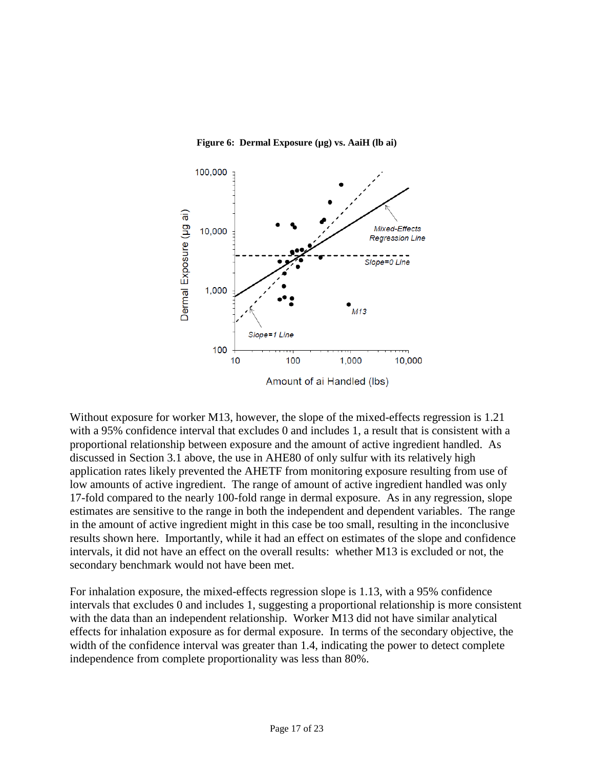**Figure 6: Dermal Exposure (µg) vs. AaiH (lb ai)**



Without exposure for worker M13, however, the slope of the mixed-effects regression is 1.21 with a 95% confidence interval that excludes 0 and includes 1, a result that is consistent with a proportional relationship between exposure and the amount of active ingredient handled. As discussed in Section 3.1 above, the use in AHE80 of only sulfur with its relatively high application rates likely prevented the AHETF from monitoring exposure resulting from use of low amounts of active ingredient. The range of amount of active ingredient handled was only 17-fold compared to the nearly 100-fold range in dermal exposure. As in any regression, slope estimates are sensitive to the range in both the independent and dependent variables. The range in the amount of active ingredient might in this case be too small, resulting in the inconclusive results shown here. Importantly, while it had an effect on estimates of the slope and confidence intervals, it did not have an effect on the overall results: whether M13 is excluded or not, the secondary benchmark would not have been met.

For inhalation exposure, the mixed-effects regression slope is 1.13, with a 95% confidence intervals that excludes 0 and includes 1, suggesting a proportional relationship is more consistent with the data than an independent relationship. Worker M13 did not have similar analytical effects for inhalation exposure as for dermal exposure. In terms of the secondary objective, the width of the confidence interval was greater than 1.4, indicating the power to detect complete independence from complete proportionality was less than 80%.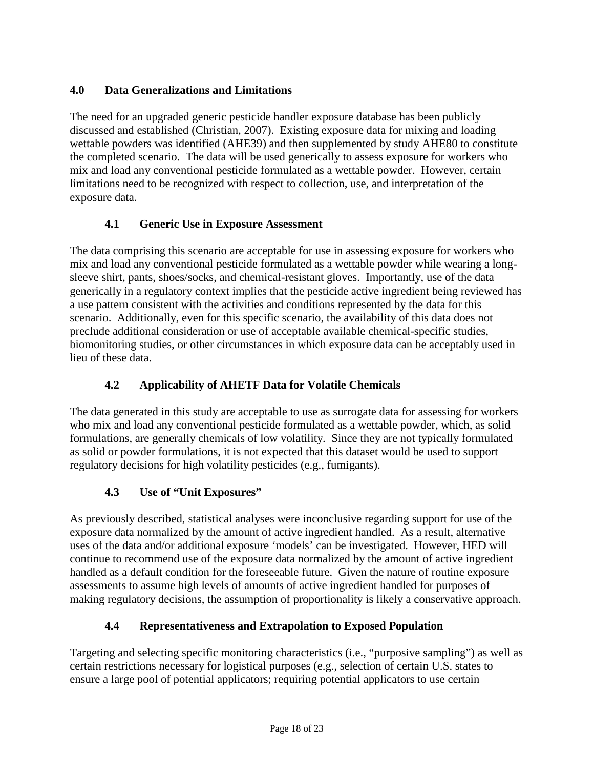# **4.0 Data Generalizations and Limitations**

The need for an upgraded generic pesticide handler exposure database has been publicly discussed and established (Christian, 2007). Existing exposure data for mixing and loading wettable powders was identified (AHE39) and then supplemented by study AHE80 to constitute the completed scenario. The data will be used generically to assess exposure for workers who mix and load any conventional pesticide formulated as a wettable powder. However, certain limitations need to be recognized with respect to collection, use, and interpretation of the exposure data.

# **4.1 Generic Use in Exposure Assessment**

The data comprising this scenario are acceptable for use in assessing exposure for workers who mix and load any conventional pesticide formulated as a wettable powder while wearing a longsleeve shirt, pants, shoes/socks, and chemical-resistant gloves. Importantly, use of the data generically in a regulatory context implies that the pesticide active ingredient being reviewed has a use pattern consistent with the activities and conditions represented by the data for this scenario. Additionally, even for this specific scenario, the availability of this data does not preclude additional consideration or use of acceptable available chemical-specific studies, biomonitoring studies, or other circumstances in which exposure data can be acceptably used in lieu of these data.

# **4.2 Applicability of AHETF Data for Volatile Chemicals**

The data generated in this study are acceptable to use as surrogate data for assessing for workers who mix and load any conventional pesticide formulated as a wettable powder, which, as solid formulations, are generally chemicals of low volatility. Since they are not typically formulated as solid or powder formulations, it is not expected that this dataset would be used to support regulatory decisions for high volatility pesticides (e.g., fumigants).

# **4.3 Use of "Unit Exposures"**

As previously described, statistical analyses were inconclusive regarding support for use of the exposure data normalized by the amount of active ingredient handled. As a result, alternative uses of the data and/or additional exposure 'models' can be investigated. However, HED will continue to recommend use of the exposure data normalized by the amount of active ingredient handled as a default condition for the foreseeable future. Given the nature of routine exposure assessments to assume high levels of amounts of active ingredient handled for purposes of making regulatory decisions, the assumption of proportionality is likely a conservative approach.

# **4.4 Representativeness and Extrapolation to Exposed Population**

Targeting and selecting specific monitoring characteristics (i.e., "purposive sampling") as well as certain restrictions necessary for logistical purposes (e.g., selection of certain U.S. states to ensure a large pool of potential applicators; requiring potential applicators to use certain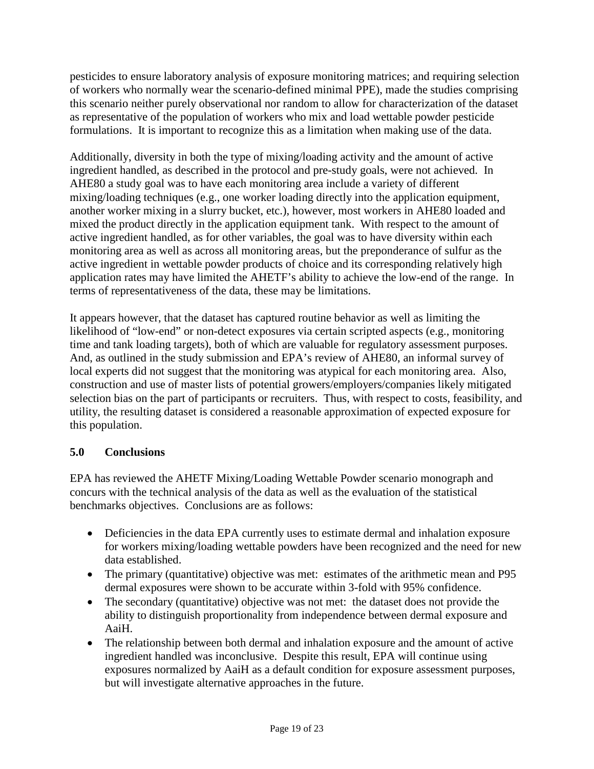pesticides to ensure laboratory analysis of exposure monitoring matrices; and requiring selection of workers who normally wear the scenario-defined minimal PPE), made the studies comprising this scenario neither purely observational nor random to allow for characterization of the dataset as representative of the population of workers who mix and load wettable powder pesticide formulations. It is important to recognize this as a limitation when making use of the data.

Additionally, diversity in both the type of mixing/loading activity and the amount of active ingredient handled, as described in the protocol and pre-study goals, were not achieved. In AHE80 a study goal was to have each monitoring area include a variety of different mixing/loading techniques (e.g., one worker loading directly into the application equipment, another worker mixing in a slurry bucket, etc.), however, most workers in AHE80 loaded and mixed the product directly in the application equipment tank. With respect to the amount of active ingredient handled, as for other variables, the goal was to have diversity within each monitoring area as well as across all monitoring areas, but the preponderance of sulfur as the active ingredient in wettable powder products of choice and its corresponding relatively high application rates may have limited the AHETF's ability to achieve the low-end of the range. In terms of representativeness of the data, these may be limitations.

It appears however, that the dataset has captured routine behavior as well as limiting the likelihood of "low-end" or non-detect exposures via certain scripted aspects (e.g., monitoring time and tank loading targets), both of which are valuable for regulatory assessment purposes. And, as outlined in the study submission and EPA's review of AHE80, an informal survey of local experts did not suggest that the monitoring was atypical for each monitoring area. Also, construction and use of master lists of potential growers/employers/companies likely mitigated selection bias on the part of participants or recruiters. Thus, with respect to costs, feasibility, and utility, the resulting dataset is considered a reasonable approximation of expected exposure for this population.

## **5.0 Conclusions**

EPA has reviewed the AHETF Mixing/Loading Wettable Powder scenario monograph and concurs with the technical analysis of the data as well as the evaluation of the statistical benchmarks objectives. Conclusions are as follows:

- Deficiencies in the data EPA currently uses to estimate dermal and inhalation exposure for workers mixing/loading wettable powders have been recognized and the need for new data established.
- The primary (quantitative) objective was met: estimates of the arithmetic mean and P95 dermal exposures were shown to be accurate within 3-fold with 95% confidence.
- The secondary (quantitative) objective was not met: the dataset does not provide the ability to distinguish proportionality from independence between dermal exposure and AaiH.
- The relationship between both dermal and inhalation exposure and the amount of active ingredient handled was inconclusive. Despite this result, EPA will continue using exposures normalized by AaiH as a default condition for exposure assessment purposes, but will investigate alternative approaches in the future.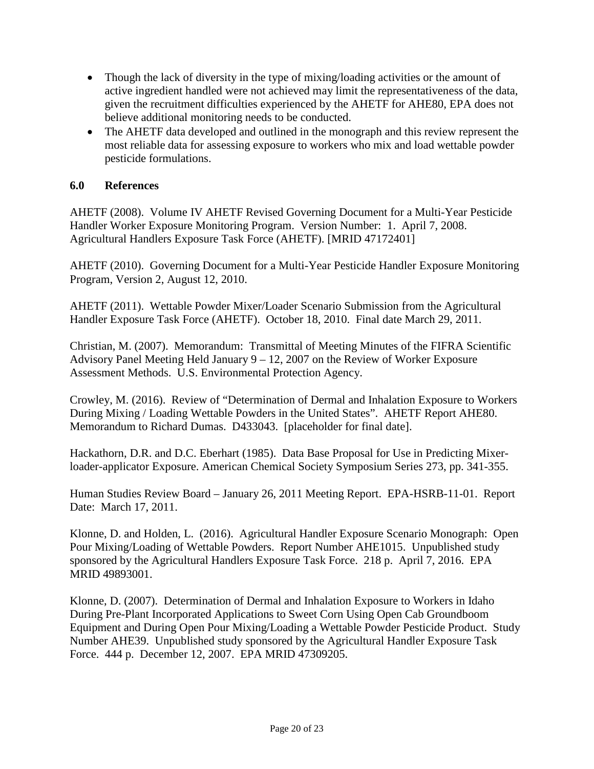- Though the lack of diversity in the type of mixing/loading activities or the amount of active ingredient handled were not achieved may limit the representativeness of the data, given the recruitment difficulties experienced by the AHETF for AHE80, EPA does not believe additional monitoring needs to be conducted.
- The AHETF data developed and outlined in the monograph and this review represent the most reliable data for assessing exposure to workers who mix and load wettable powder pesticide formulations.

#### **6.0 References**

AHETF (2008). Volume IV AHETF Revised Governing Document for a Multi-Year Pesticide Handler Worker Exposure Monitoring Program. Version Number: 1. April 7, 2008. Agricultural Handlers Exposure Task Force (AHETF). [MRID 47172401]

AHETF (2010). Governing Document for a Multi-Year Pesticide Handler Exposure Monitoring Program, Version 2, August 12, 2010.

AHETF (2011). Wettable Powder Mixer/Loader Scenario Submission from the Agricultural Handler Exposure Task Force (AHETF). October 18, 2010. Final date March 29, 2011.

Christian, M. (2007). Memorandum: Transmittal of Meeting Minutes of the FIFRA Scientific Advisory Panel Meeting Held January 9 – 12, 2007 on the Review of Worker Exposure Assessment Methods. U.S. Environmental Protection Agency.

Crowley, M. (2016). Review of "Determination of Dermal and Inhalation Exposure to Workers During Mixing / Loading Wettable Powders in the United States". AHETF Report AHE80. Memorandum to Richard Dumas. D433043. [placeholder for final date].

Hackathorn, D.R. and D.C. Eberhart (1985). Data Base Proposal for Use in Predicting Mixerloader-applicator Exposure. American Chemical Society Symposium Series 273, pp. 341-355.

Human Studies Review Board – January 26, 2011 Meeting Report. EPA-HSRB-11-01. Report Date: March 17, 2011.

Klonne, D. and Holden, L. (2016). Agricultural Handler Exposure Scenario Monograph: Open Pour Mixing/Loading of Wettable Powders. Report Number AHE1015. Unpublished study sponsored by the Agricultural Handlers Exposure Task Force. 218 p. April 7, 2016. EPA MRID 49893001.

Klonne, D. (2007). Determination of Dermal and Inhalation Exposure to Workers in Idaho During Pre-Plant Incorporated Applications to Sweet Corn Using Open Cab Groundboom Equipment and During Open Pour Mixing/Loading a Wettable Powder Pesticide Product. Study Number AHE39. Unpublished study sponsored by the Agricultural Handler Exposure Task Force. 444 p. December 12, 2007. EPA MRID 47309205.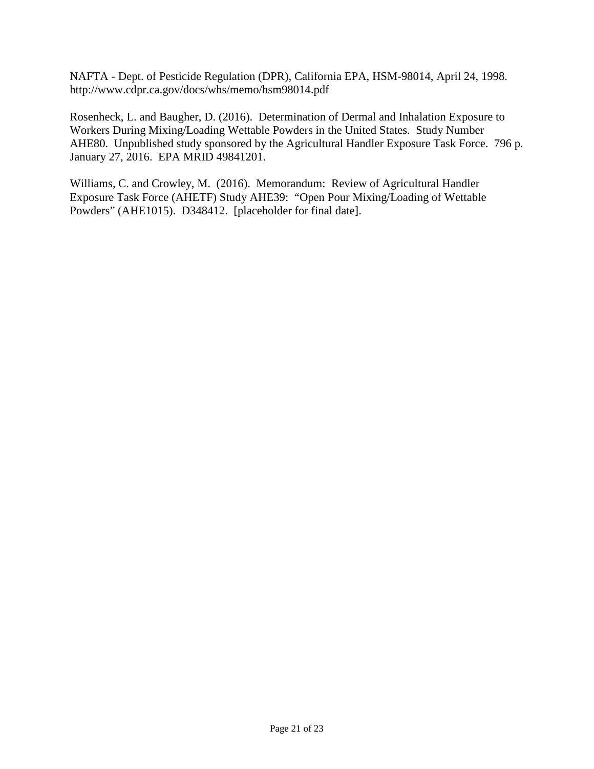NAFTA - Dept. of Pesticide Regulation (DPR), California EPA, HSM-98014, April 24, 1998. http://www.cdpr.ca.gov/docs/whs/memo/hsm98014.pdf

Rosenheck, L. and Baugher, D. (2016). Determination of Dermal and Inhalation Exposure to Workers During Mixing/Loading Wettable Powders in the United States. Study Number AHE80. Unpublished study sponsored by the Agricultural Handler Exposure Task Force. 796 p. January 27, 2016. EPA MRID 49841201.

Williams, C. and Crowley, M. (2016). Memorandum: Review of Agricultural Handler Exposure Task Force (AHETF) Study AHE39: "Open Pour Mixing/Loading of Wettable Powders" (AHE1015). D348412. [placeholder for final date].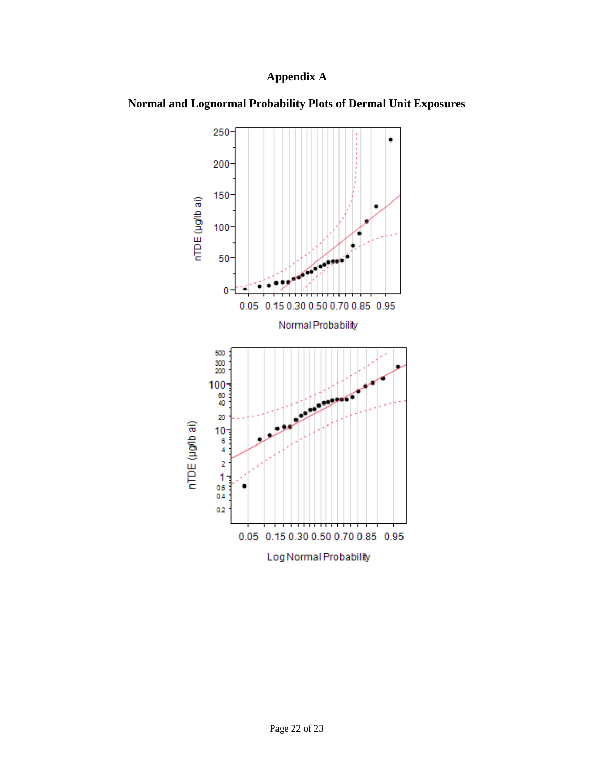# **Appendix A**



**Normal and Lognormal Probability Plots of Dermal Unit Exposures**